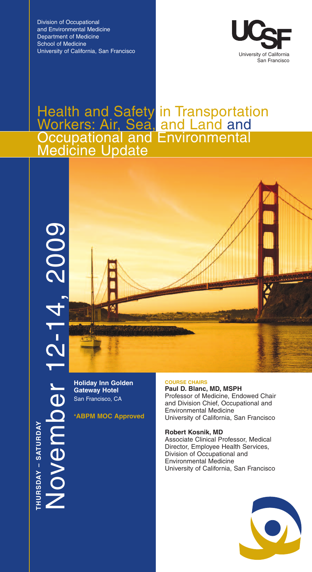Division of Occupational and Environmental Medicine Department of Medicine School of Medicine University of California, San Francisco



# Health and Safety in Transportation Workers: Air, Sea, and Land and Occupational and Environmental **Medicine Update**



**Holiday Inn Golden Gateway Hotel** San Francisco, CA

**THU R** <u>(</u> **D A Y –** <u>(</u> **A T U R D A Y**

N

o $\bm{\ge}$  $\bf \Phi$ 

 $\mathsf E$ 

 $\boldsymbol{\Omega}$ 

 $\bf \Phi$ ـــا

**\*ABPM MOC Approved**

### **COURSE CHAIRS**

**Paul D. Blanc, MD, MSPH** Professor of Medicine, Endowed Chair and Division Chief, Occupational and Environmental Medicine University of California, San Francisco

### **Robert Kosnik, MD**

Associate Clinical Professor, Medical Director, Employee Health Services, Division of Occupational and Environmental Medicine University of California, San Francisco

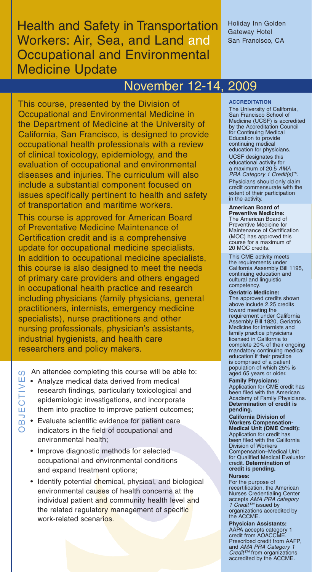# **Health and Safety in Transportation** Workers: Air, Sea, and Land and Occupational and Environmental Medicine Update

Holiday Inn Golden Gateway Hotel San Francisco, CA

# November 12-14, 2009

This course, presented by the Division of Occupational and Environmental Medicine in the Department of Medicine at the University of California, San Francisco, is designed to provide occupational health professionals with a review of clinical toxicology, epidemiology, and the evaluation of occupational and environmental diseases and injuries. The curriculum will also include a substantial component focused on issues specifically pertinent to health and safety of transportation and maritime workers.

This course is approved for American Board of Preventative Medicine Maintenance of Certification credit and is a comprehensive update for occupational medicine specialists. In addition to occupational medicine specialists, this course is also designed to meet the needs of primary care providers and others engaged in occupational health practice and research including physicians (family physicians, general practitioners, internists, emergency medicine specialists), nurse practitioners and other nursing professionals, physician's assistants, industrial hygienists, and health care researchers and policy makers.

An attendee completing this course will be able to: E  $\Omega$ 

- Analyze medical data derived from medical research findings, particularly toxicological and epidemiologic investigations, and incorporate them into practice to improve patient outcomes; E  $\geq$
- Evaluate scientific evidence for patient care indicators in the field of occupational and environmental health;  $\mathop{\mathsf{O}}$  $\Xi$

 $\overline{\circ}$ 

- Improve diagnostic methods for selected occupational and environmental conditions and expand treatment options;
- Identify potential chemical, physical, and biological environmental causes of health concerns at the individual patient and community health level and the related regulatory management of specific work-related scenarios.

### **ACCREDITATION**

The University of California, San Francisco School of Medicine (UCSF) is accredited by the Accreditation Council for Continuing Medical Education to provide continuing medical education for physicians. UCSF designates this educational activity for a maximum of 20.5 *AMA PRA Category 1 Credit(s) TM*. Physicians should only claim credit commensurate with the extent of their participation in the activity.

**American Board of Preventive Medicine:** The American Board of Preventive Medicine for Maintenance of Certification (MOC) has approved this course for a maximum of 20 MOC credits.

This CME activity meets the requirements under California Assembly Bill 1195, continuing education and cultural and linguistic competency.

**Geriatric Medicine:** The approved credits shown above include 2.25 credits toward meeting the requirement under California Assembly Bill 1820, Geriatric Medicine for internists and family practice physicians licensed in California to complete 20% of their ongoing mandatory continuing medical education if their practice is comprised of a patient population of which 25% is aged 65 years or older.

**Family Physicians:** Application for CME credit has been filed with the American Academy of Family Physicians. **Determination of credit is pending.**

**California Division of Workers Compensation-Medical Unit (QME Credit):** Application for credit has been filed with the California Division of Workers Compensation–Medical Unit for Qualified Medical Evaluator credit. **Determination of credit is pending.**

### **Nurses:**

For the purpose of recertification, the American Nurses Credentialing Center accepts *AMA PRA category 1 Credit™* issued by organizations accredited by the ACCME.

**Physician Assistants:** AAPA accepts category 1 credit from AOACCME, Prescribed credit from AAFP, and *AMA PRA Category 1 Credit™* from organizations accredited by the ACCME.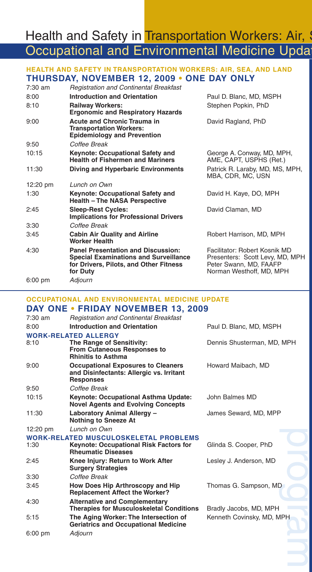# Health and Safety in Transportation Workers: Air, S Occupational and Environmental Medicine Updat

# **HEALTH AND SAFETY IN TRANSPORTATION WORKERS: AIR, SEA, AND LAND THURSDAY, NOVEMBER 12, 2009 • ONE DAY ONLY**

| $7:30$ am          | <b>Registration and Continental Breakfast</b>                                                                                                   |                                                                                                                        |
|--------------------|-------------------------------------------------------------------------------------------------------------------------------------------------|------------------------------------------------------------------------------------------------------------------------|
| 8:00               | <b>Introduction and Orientation</b>                                                                                                             | Paul D. Blanc, MD, MSPH                                                                                                |
| 8:10               | <b>Railway Workers:</b><br><b>Ergonomic and Respiratory Hazards</b>                                                                             | Stephen Popkin, PhD                                                                                                    |
| 9:00               | <b>Acute and Chronic Trauma in</b><br><b>Transportation Workers:</b><br><b>Epidemiology and Prevention</b>                                      | David Ragland, PhD                                                                                                     |
| 9:50               | Coffee Break                                                                                                                                    |                                                                                                                        |
| 10:15              | <b>Keynote: Occupational Safety and</b><br><b>Health of Fishermen and Mariners</b>                                                              | George A. Conway, MD, MPH,<br>AME, CAPT, USPHS (Ret.)                                                                  |
| 11:30              | <b>Diving and Hyperbaric Environments</b>                                                                                                       | Patrick R. Laraby, MD, MS, MPH,<br>MBA, CDR, MC, USN                                                                   |
| $12:20 \text{ pm}$ | Lunch on Own                                                                                                                                    |                                                                                                                        |
| 1:30               | Keynote: Occupational Safety and<br><b>Health - The NASA Perspective</b>                                                                        | David H. Kaye, DO, MPH                                                                                                 |
| 2:45               | <b>Sleep-Rest Cycles:</b><br><b>Implications for Professional Drivers</b>                                                                       | David Claman, MD                                                                                                       |
| 3:30               | Coffee Break                                                                                                                                    |                                                                                                                        |
| 3:45               | <b>Cabin Air Quality and Airline</b><br><b>Worker Health</b>                                                                                    | Robert Harrison, MD, MPH                                                                                               |
| 4:30               | <b>Panel Presentation and Discussion:</b><br><b>Special Examinations and Surveillance</b><br>for Drivers, Pilots, and Other Fitness<br>for Duty | Facilitator: Robert Kosnik MD<br>Presenters: Scott Levy, MD, MPH<br>Peter Swann, MD, FAAFP<br>Norman Westhoff, MD, MPH |
| $6:00 \text{ pm}$  | Adjourn                                                                                                                                         |                                                                                                                        |

# **OCCUPATIONAL AND ENVIRONMENTAL MEDICINE UPDATE**

|                    | DAY ONE • FRIDAY NOVEMBER 13, 2009                                                                        |                            |
|--------------------|-----------------------------------------------------------------------------------------------------------|----------------------------|
| $7:30$ am          | <b>Registration and Continental Breakfast</b>                                                             |                            |
| 8:00               | <b>Introduction and Orientation</b>                                                                       | Paul D. Blanc, MD, MSPH    |
|                    | <b>WORK-RELATED ALLERGY</b>                                                                               |                            |
| 8:10               | The Range of Sensitivity:<br><b>From Cutaneous Responses to</b><br><b>Rhinitis to Asthma</b>              | Dennis Shusterman, MD, MPH |
| 9:00               | <b>Occupational Exposures to Cleaners</b><br>and Disinfectants: Allergic vs. Irritant<br><b>Responses</b> | Howard Maibach, MD         |
| 9:50               | Coffee Break                                                                                              |                            |
| 10:15              | Keynote: Occupational Asthma Update:<br><b>Novel Agents and Evolving Concepts</b>                         | John Balmes MD             |
| 11:30              | Laboratory Animal Allergy -<br><b>Nothing to Sneeze At</b>                                                | James Seward, MD, MPP      |
| $12:20 \text{ pm}$ | Lunch on Own                                                                                              |                            |
|                    | <b>WORK-RELATED MUSCULOSKELETAL PROBLEMS</b>                                                              |                            |
| 1:30               | <b>Keynote: Occupational Risk Factors for</b><br><b>Rheumatic Diseases</b>                                | Glinda S. Cooper, PhD      |
| 2:45               | Knee Injury: Return to Work After<br><b>Surgery Strategies</b>                                            | Lesley J. Anderson, MD     |
| 3:30               | Coffee Break                                                                                              |                            |
| 3:45               | <b>How Does Hip Arthroscopy and Hip</b><br><b>Replacement Affect the Worker?</b>                          | Thomas G. Sampson, MD      |
| 4:30               | <b>Alternative and Complementary</b><br><b>Therapies for Musculoskeletal Conditions</b>                   | Bradly Jacobs, MD, MPH     |
| 5:15               | The Aging Worker: The Intersection of<br><b>Geriatrics and Occupational Medicine</b>                      | Kenneth Covinsky, MD, MPH  |
| $6:00$ pm          | Adjourn                                                                                                   |                            |
|                    |                                                                                                           |                            |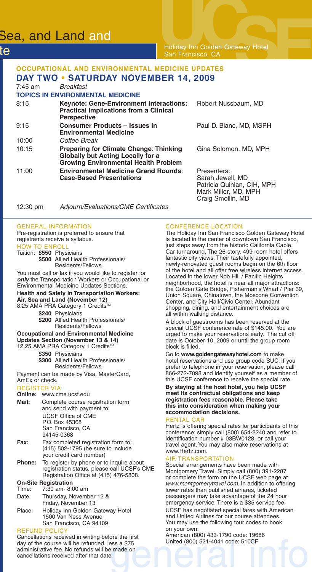# Sea, and Land and

te

Holiday Inn Golden Gateway Hotel San Francisco, CA

## **OCCUPATIONAL AND ENVIRONMENTAL MEDICINE UPDATES DAY TWO • SATURDAY NOVEMBER 14, 2009**

| $7:45$ am | <b>Breakfast</b>                                                                                                                         |                                                                                       |
|-----------|------------------------------------------------------------------------------------------------------------------------------------------|---------------------------------------------------------------------------------------|
|           | <b>TOPICS IN ENVIRONMENTAL MEDICINE</b>                                                                                                  |                                                                                       |
| 8:15      | <b>Keynote: Gene-Environment Interactions:</b><br><b>Practical Implications from a Clinical</b><br><b>Perspective</b>                    | Robert Nussbaum, MD                                                                   |
| 9:15      | <b>Consumer Products - Issues in</b><br><b>Environmental Medicine</b>                                                                    | Paul D. Blanc, MD, MSPH                                                               |
| 10:00     | Coffee Break                                                                                                                             |                                                                                       |
| 10:15     | <b>Preparing for Climate Change: Thinking</b><br><b>Globally but Acting Locally for a</b><br><b>Growing Environmental Health Problem</b> | Gina Solomon, MD, MPH                                                                 |
| 11:00     | <b>Environmental Medicine Grand Rounds:</b><br><b>Case-Based Presentations</b>                                                           | Presenters:<br>Sarah Jewell, MD<br>Patricia Quinlan, CIH, MPH<br>Mark Miller, MD, MPH |

12:30 pm *Adjourn/Evaluations/CME Certificates*

### GENERAL INFORMATION

Pre-registration is preferred to ensure that registrants receive a syllabus. HOW TO ENROLL

### Tuition: **\$550** Physicians

**\$500** Allied Health Professionals/ Residents/Fellows

You must call or fax if you would like to register for *only* the Transportation Workers or Occupational or Environmental Medicine Updates Sections.

### **Health and Safety in Transportation Workers: Air, Sea and Land (November 12)**

8.25 AMA PRA Category 1 Credits™

**\$240** Physicians

- **\$200** Allied Health Professionals/ Residents/Fellows
- **Occupational and Environmental Medicine Updates Section (November 13 & 14)** 12.25 AMA PRA Category 1 Credits™

**\$350** Physicians

**\$300** Allied Health Professionals/ Residents/Fellows

Payment can be made by Visa, MasterCard, AmEx or check.

### REGISTER VIA:

|       | <b>Online:</b> www.cme.ucsf.edu                                                                                                                                                                                                |
|-------|--------------------------------------------------------------------------------------------------------------------------------------------------------------------------------------------------------------------------------|
| Mail: | Complete course registration form<br>and send with payment to:                                                                                                                                                                 |
|       | UCSF Office of CME                                                                                                                                                                                                             |
|       | P.O. Box 45368                                                                                                                                                                                                                 |
|       | San Francisco, CA                                                                                                                                                                                                              |
|       | 94145-0368                                                                                                                                                                                                                     |
|       | England and send and the sending of the following the contract of the contract of the contract of the contract of the contract of the contract of the contract of the contract of the contract of the contract of the contract |

- **Fax:** Fax completed registration form to: (415) 502-1795 (be sure to include your credit card number)
- **Phone:** To register by phone or to inquire about registration status, please call UCSF's CME Registration Office at (415) 476-5808.

### **On-Site Registration**

| Time: | 7:30 am- 8:00 am        |
|-------|-------------------------|
| Date: | Thursday, November 12 & |
|       | Friday, November 13     |

Place: Holiday Inn Golden Gateway Hotel 1500 Van Ness Avenue San Francisco, CA 94109

### REFUND POLICY

Cancellations received in writing before the first day of the course will be refunded, less a \$75 administrative fee. No refunds will be made on cancellations received after that date.

### CONFERENCE LOCATION

Craig Smollin, MD

The Holiday Inn San Francisco Golden Gateway Hotel is located in the center of downtown San Francisco, just steps away from the historic California Cable Car turnaround. The 26-story, 499 room hotel offers fantastic city views. Their tastefully appointed, newly-renovated guest rooms begin on the 6th floor of the hotel and all offer free wireless internet access. Located in the lower Nob Hill / Pacific Heights neighborhood, the hotel is near all major attractions: the Golden Gate Bridge, Fisherman's Wharf / Pier 39, Union Square, Chinatown, the Moscone Convention Center, and City Hall/Civic Center. Abundant shopping, dining, and entertainment choices are all within walking distance.

A block of guestrooms has been reserved at the special UCSF conference rate of \$145.00. You are urged to make your reservations early. The cut off date is October 10, 2009 or until the group room block is filled.

Go to **www.goldengatewayhotel.com** to make hotel reservations and use group code SUC. If you prefer to telephone in your reservation, please call 866-272-7098 and identify yourself as a member of this UCSF conference to receive the special rate.

**By staying at the host hotel, you help UCSF meet its contractual obligations and keep registration fees reasonable. Please take this into consideration when making your accommodation decisions.**

### RENTAL CAR

Hertz is offering special rates for participants of this conference; simply call (800) 654-2240 and refer to identification number # 03BW0128, or call your travel agent.You may also make reservations at www.Hertz.com.

### AIR TRANSPORTATION

Special arrangements have been made with Montgomery Travel. Simply call (800) 391-2287 or complete the form on the UCSF web page at *www.montgomerytravel.com*. In addition to offering lower rates than published airfares, ticketed passengers may take advantage of the 24 hour emergency service. There is a \$35 service fee.

UCSF has negotiated special fares with American and United Airlines for our course attendees. You may use the following tour codes to book on your own:

American (800) 433-1790 code: 19686 United (800) 521-4041 code: 510CF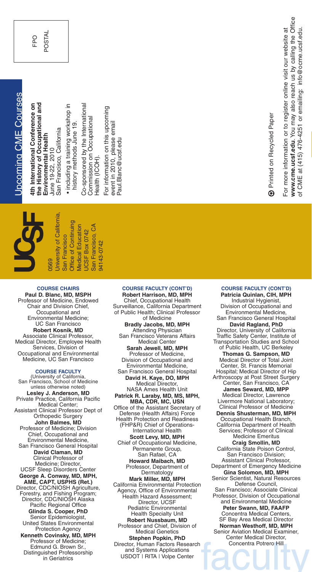the History of Occupational and 4th International Conference on **the History of Occupational and onference on** San Francisco, California San Francisco, California Environmental Health **Environmental Health 4th International C** June 19-22, 2010 June 19-22, 2010

• including a training workshop in including a training workshop in history methods June 19. history methods June 19.

Co-sponsored by the International Co-sponsored by the International Commission on Occupational mission on Occupational  $\dot{\widehat{\tt \tau}}$ Health (IC O

For information on this upcoming For information on this upcoming event in 2010, please email event in 2010, please email Paul.Blanc@ucsf.edu Paul.Blanc@ucsf.edu

94143-0742

94143-0742

Printed on Recycled Paper Printed on Recycled Paper  $^{\circledR}$ 

For more information or to register online visit our website at

For more information or to register online visit our website at

**w.cme.ucsf.edu**. You may also reach us by calling the Office

at (415) 476-4251 or emailing: info@ocme.ucsf.edu.

**ww**

of C M E

**Jniversity of California,** University of California, Office of Continuing Office of Continuing Medical Education A Medical Education San Francisco, C SF Box 0742 San Francisco San Francisco 0569 UC

### **COURSE CHAIRS**

**Paul D. Blanc, MD, MSPH** Professor of Medicine, Endowed Chair and Division Chief, Occupational and Environmental Medicine; UC San Francisco **Robert Kosnik, MD** Associate Clinical Professor. Medical Director, Employee Health Services, Division of Occupational and Environmental Medicine, UC San Francisco

### **COURSE FACULTY**

(University of California, San Francisco, School of Medicine unless otherwise noted) **Lesley J. Anderson, MD** Private Practice, California Pacific Medical Center; Assistant Clinical Professor Dept of Orthopedic Surgery **John Balmes, MD** Professor of Medicine; Division Chief, Occupational and Environmental Medicine, San Francisco General Hospital **David Claman, MD** Clinical Professor of Medicine; Director, UCSF Sleep Disorders Center **George A. Conway, MD, MPH, AME, CAPT, USPHS (Ret.)** Director, CDC/NIOSH Agriculture, Forestry, and Fishing Program; Director, CDC/NIOSH Alaska Pacific Regional Office **Glinda S. Cooper, PhD** Senior Epidemiologist, United States Environmental Protection Agency **Kenneth Covinsky, MD, MPH** Professor of Medicine; Edmund G. Brown Sr. Distinguished Professorship in Geriatrics

### **COURSE FACULTY (CONT'D) Robert Harrison, MD, MPH** Chief, Occupational Health Surveillance, California Department of Public Health; Clinical Professor of Medicine **Bradly Jacobs, MD, MPH** Attending Physician San Francisco Veterans Affairs Medical Center **Sarah Jewell, MD, MPH** Professor of Medicine, Division of Occupational and Environmental Medicine, San Francisco General Hospital **David H. Kaye, DO, MPH** Medical Director. NASA Ames Health Unit **Patrick R. Laraby, MD, MS, MPH, MBA, CDR, MC, USN** Office of the Assistant Secretary of Defense (Health Affairs) Force Health Protection and Readiness (FHP&R) Chief of Operations-International Health **Scott Levy, MD, MPH** Chief of Occupational Medicine, Permanente Group, San Rafael, CA **Howard Maibach, MD** Professor, Department of Dermatology **Mark Miller, MD, MPH** California Environmental Protection Agency, Office of Environmental Health Hazard Assessment; Director, UCSF Pediatric Environmental Health Specialty Unit **Robert Nussbaum, MD** Professor and Chief, Division of Medical Genetics **Stephen Popkin, PhD** Director, Human Factors Research

# and Systems Applications USDOT | RITA | Volpe Center

### Industrial Hygienist, Division of Occupational and Environmental Medicine, San Francisco General Hospital **David Ragland, PhD** Director, University of California Traffic Safety Center, Institute of Transportation Studies and School of Public Health, UC Berkeley **Thomas G. Sampson, MD** Medical Director of Total Joint Center, St. Francis Memorial Hospital; Medical Director of Hip Arthroscopy at Post Street Surgery Center, San Francisco, CA **James Seward, MD, MPP** Medical Director, Lawrence Livermore National Laboratory; Clinical Professor of Medicine **Dennis Shusterman, MD, MPH** Occupational Health Branch, California Department of Health Services; Professor of Clinical Medicine Emeritus **Craig Smollin, MD** California State Poison Control, San Francisco Division; Assistant Clinical Professor,

**COURSE FACULTY (CONT'D) Patricia Quinlan, CIH, MPH**

Department of Emergency Medicine **Gina Solomon, MD, MPH** Senior Scientist, Natural Resources Defense Council, San Francisco; Associate Clinical Professor, Division of Occupational

and Environmental Medicine **Peter Swann, MD, FAAFP** Concentra Medical Centers, SF Bay Area Medical Director **Norman Westhoff, MD, MPH** Senior Aviation Medical Examiner, Center Medical Director, Concentra Potrero Hill

FPO

PO STAL